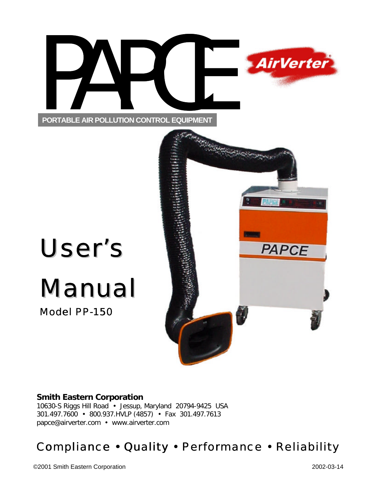



# User's

## Manual

Model PP-150



#### **Smith Eastern Corporation**

10630-S Riggs Hill Road • Jessup, Maryland 20794-9425 USA 301.497.7600 • 800.937.HVLP (4857) • Fax 301.497.7613 papce@airverter.com • www.airverter.com

## Compliance • Quality • Performance • Reliability

©2001 Smith Eastern Corporation 2002-03-14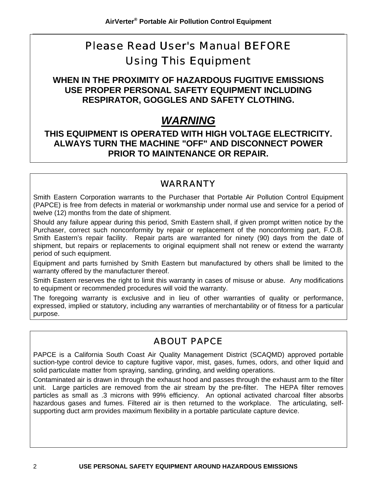## Please Read User's Manual *BEFORE* Using This Equipment

**WHEN IN THE PROXIMITY OF HAZARDOUS FUGITIVE EMISSIONS USE PROPER PERSONAL SAFETY EQUIPMENT INCLUDING RESPIRATOR, GOGGLES AND SAFETY CLOTHING.**

## *WARNING*

#### **THIS EQUIPMENT IS OPERATED WITH HIGH VOLTAGE ELECTRICITY. ALWAYS TURN THE MACHINE "OFF" AND DISCONNECT POWER PRIOR TO MAINTENANCE OR REPAIR.**

#### WARRANTY

Smith Eastern Corporation warrants to the Purchaser that Portable Air Pollution Control Equipment (PAPCE) is free from defects in material or workmanship under normal use and service for a period of twelve (12) months from the date of shipment.

Should any failure appear during this period, Smith Eastern shall, if given prompt written notice by the Purchaser, correct such nonconformity by repair or replacement of the nonconforming part, F.O.B. Smith Eastern's repair facility. Repair parts are warranted for ninety (90) days from the date of shipment, but repairs or replacements to original equipment shall not renew or extend the warranty period of such equipment.

Equipment and parts furnished by Smith Eastern but manufactured by others shall be limited to the warranty offered by the manufacturer thereof.

Smith Eastern reserves the right to limit this warranty in cases of misuse or abuse. Any modifications to equipment or recommended procedures will void the warranty.

The foregoing warranty is exclusive and in lieu of other warranties of quality or performance, expressed, implied or statutory, including any warranties of merchantability or of fitness for a particular purpose.

#### ABOUT PAPCE

PAPCE is a California South Coast Air Quality Management District (SCAQMD) approved portable suction-type control device to capture fugitive vapor, mist, gases, fumes, odors, and other liquid and solid particulate matter from spraying, sanding, grinding, and welding operations.

Contaminated air is drawn in through the exhaust hood and passes through the exhaust arm to the filter unit. Large particles are removed from the air stream by the pre-filter. The HEPA filter removes particles as small as .3 microns with 99% efficiency. An optional activated charcoal filter absorbs hazardous gases and fumes. Filtered air is then returned to the workplace. The articulating, selfsupporting duct arm provides maximum flexibility in a portable particulate capture device.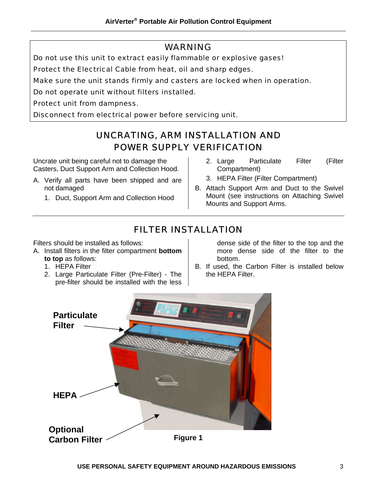#### WARNING

Do not use this unit to extract easily flammable or explosive gases!

Protect the Electrical Cable from heat, oil and sharp edges.

Make sure the unit stands firmly and casters are locked when in operation.

Do not operate unit without filters installed.

Protect unit from dampness.

Disconnect from electrical power before servicing unit.

#### UNCRATING, ARM INSTALLATION AND POWER SUPPLY VERIFICATION

Uncrate unit being careful not to damage the Casters, Duct Support Arm and Collection Hood.

- A. Verify all parts have been shipped and are not damaged
	- 1. Duct, Support Arm and Collection Hood
- 2. Large Particulate Filter (Filter Compartment)
- 3. HEPA Filter (Filter Compartment)
- B. Attach Support Arm and Duct to the Swivel Mount (see instructions on Attaching Swivel Mounts and Support Arms.

#### FILTER INSTALLATION

Filters should be installed as follows:

- A. Install filters in the filter compartment **bottom to top** as follows:
	- 1. HEPA Filter
	- 2. Large Particulate Filter (Pre-Filter) The pre-filter should be installed with the less

dense side of the filter to the top and the more dense side of the filter to the bottom.

B. If used, the Carbon Filter is installed below the HEPA Filter.

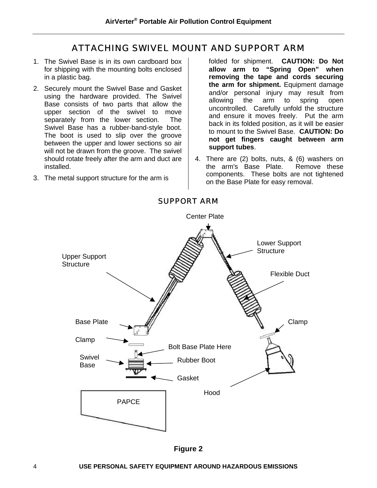#### ATTACHING SWIVEL MOUNT AND SUPPORT ARM

- 1. The Swivel Base is in its own cardboard box for shipping with the mounting bolts enclosed in a plastic bag.
- 2. Securely mount the Swivel Base and Gasket using the hardware provided. The Swivel Base consists of two parts that allow the upper section of the swivel to move separately from the lower section. The Swivel Base has a rubber-band-style boot. The boot is used to slip over the groove between the upper and lower sections so air will not be drawn from the groove. The swivel should rotate freely after the arm and duct are installed.
- 3. The metal support structure for the arm is

folded for shipment. **CAUTION: Do Not allow arm to "Spring Open" when removing the tape and cords securing the arm for shipment.** Equipment damage and/or personal injury may result from allowing the arm to spring open uncontrolled. Carefully unfold the structure and ensure it moves freely. Put the arm back in its folded position, as it will be easier to mount to the Swivel Base. **CAUTION: Do not get fingers caught between arm support tubes**.

4. There are (2) bolts, nuts, & (6) washers on the arm's Base Plate. Remove these components. These bolts are not tightened on the Base Plate for easy removal.



#### SUPPORT ARM

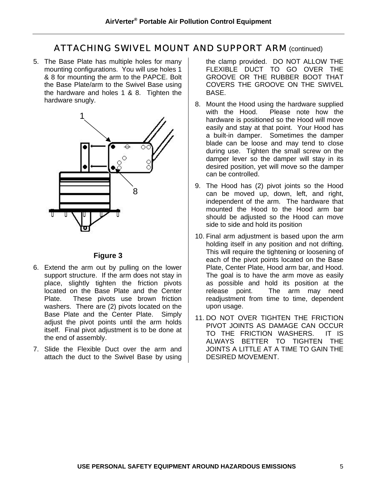#### ATTACHING SWIVEL MOUNT AND SUPPORT ARM (continued)

5. The Base Plate has multiple holes for many mounting configurations. You will use holes 1 & 8 for mounting the arm to the PAPCE. Bolt the Base Plate/arm to the Swivel Base using the hardware and holes 1 & 8. Tighten the hardware snugly.



#### **Figure 3**

- 6. Extend the arm out by pulling on the lower support structure. If the arm does not stay in place, slightly tighten the friction pivots located on the Base Plate and the Center Plate. These pivots use brown friction washers. There are (2) pivots located on the Base Plate and the Center Plate. Simply adjust the pivot points until the arm holds itself. Final pivot adjustment is to be done at the end of assembly.
- 7. Slide the Flexible Duct over the arm and attach the duct to the Swivel Base by using

the clamp provided. DO NOT ALLOW THE FLEXIBLE DUCT TO GO OVER THE GROOVE OR THE RUBBER BOOT THAT COVERS THE GROOVE ON THE SWIVEL BASE.

- 8. Mount the Hood using the hardware supplied<br>with the Hood. Please note how the Please note how the hardware is positioned so the Hood will move easily and stay at that point. Your Hood has a built-in damper. Sometimes the damper blade can be loose and may tend to close during use. Tighten the small screw on the damper lever so the damper will stay in its desired position, yet will move so the damper can be controlled.
- 9. The Hood has (2) pivot joints so the Hood can be moved up, down, left, and right, independent of the arm. The hardware that mounted the Hood to the Hood arm bar should be adjusted so the Hood can move side to side and hold its position
- 10. Final arm adjustment is based upon the arm holding itself in any position and not drifting. This will require the tightening or loosening of each of the pivot points located on the Base Plate, Center Plate, Hood arm bar, and Hood. The goal is to have the arm move as easily as possible and hold its position at the release point. The arm may need readjustment from time to time, dependent upon usage.
- 11. DO NOT OVER TIGHTEN THE FRICTION PIVOT JOINTS AS DAMAGE CAN OCCUR TO THE FRICTION WASHERS. IT IS ALWAYS BETTER TO TIGHTEN THE JOINTS A LITTLE AT A TIME TO GAIN THE DESIRED MOVEMENT.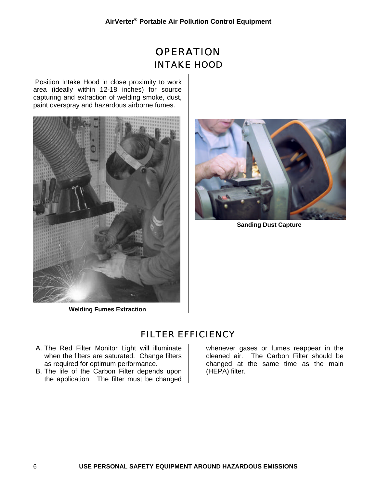## **OPERATION** INTAKE HOOD

 Position Intake Hood in close proximity to work area (ideally within 12-18 inches) for source capturing and extraction of welding smoke, dust, paint overspray and hazardous airborne fumes.







**Sanding Dust Capture**

FILTER EFFICIENCY

- A. The Red Filter Monitor Light will illuminate when the filters are saturated. Change filters as required for optimum performance.
- B. The life of the Carbon Filter depends upon the application. The filter must be changed

whenever gases or fumes reappear in the cleaned air. The Carbon Filter should be changed at the same time as the main (HEPA) filter.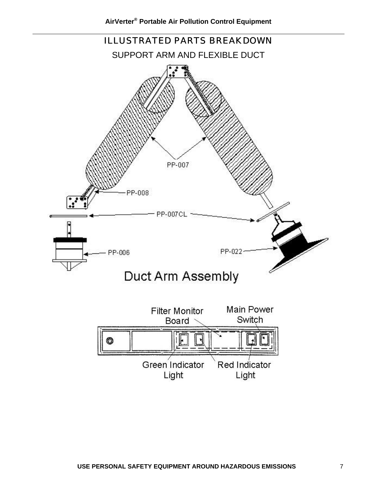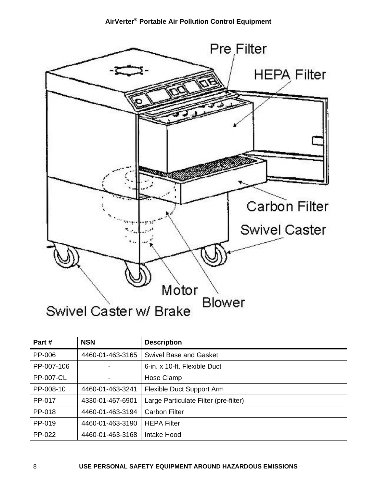

| Part#            | <b>NSN</b>       | <b>Description</b>                    |
|------------------|------------------|---------------------------------------|
| PP-006           | 4460-01-463-3165 | <b>Swivel Base and Gasket</b>         |
| PP-007-106       |                  | 6-in. x 10-ft. Flexible Duct          |
| <b>PP-007-CL</b> |                  | Hose Clamp                            |
| PP-008-10        | 4460-01-463-3241 | Flexible Duct Support Arm             |
| PP-017           | 4330-01-467-6901 | Large Particulate Filter (pre-filter) |
| PP-018           | 4460-01-463-3194 | <b>Carbon Filter</b>                  |
| PP-019           | 4460-01-463-3190 | <b>HEPA Filter</b>                    |
| PP-022           | 4460-01-463-3168 | Intake Hood                           |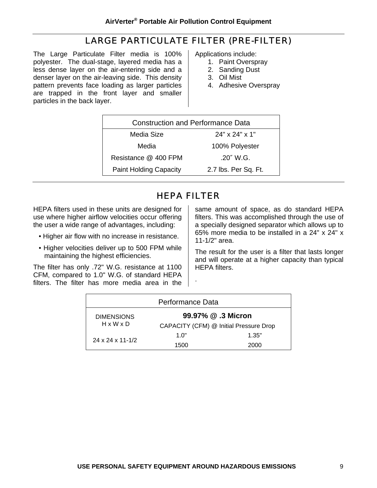#### LARGE PARTICULATE FILTER (PRE-FILTER)

The Large Particulate Filter media is 100% polyester. The dual-stage, layered media has a less dense layer on the air-entering side and a denser layer on the air-leaving side. This density pattern prevents face loading as larger particles are trapped in the front layer and smaller particles in the back layer.

Applications include:

- 1. Paint Overspray
- 2. Sanding Dust
- 3. Oil Mist
- 4. Adhesive Overspray

| <b>Construction and Performance Data</b> |                      |  |  |  |
|------------------------------------------|----------------------|--|--|--|
| Media Size                               | $24"$ x $24"$ x 1"   |  |  |  |
| Media                                    | 100% Polyester       |  |  |  |
| Resistance @ 400 FPM                     | .20" W.G.            |  |  |  |
| <b>Paint Holding Capacity</b>            | 2.7 lbs. Per Sq. Ft. |  |  |  |
|                                          |                      |  |  |  |

#### HEPA FILTER

HEPA filters used in these units are designed for use where higher airflow velocities occur offering the user a wide range of advantages, including:

- Higher air flow with no increase in resistance.
- Higher velocities deliver up to 500 FPM while maintaining the highest efficiencies.

The filter has only .72" W.G. resistance at 1100 CFM, compared to 1.0" W.G. of standard HEPA filters. The filter has more media area in the same amount of space, as do standard HEPA filters. This was accomplished through the use of a specially designed separator which allows up to 65% more media to be installed in a 24" x 24" x 11-1/2" area.

The result for the user is a filter that lasts longer and will operate at a higher capacity than typical HEPA filters.

| Performance Data               |                                        |       |  |  |  |
|--------------------------------|----------------------------------------|-------|--|--|--|
| <b>DIMENSIONS</b>              | 99.97% @ .3 Micron                     |       |  |  |  |
| $H \times W \times D$          | CAPACITY (CFM) @ Initial Pressure Drop |       |  |  |  |
|                                | 1.0"                                   | 1.35" |  |  |  |
| $24 \times 24 \times 11 - 1/2$ | 1500                                   | 2000  |  |  |  |

.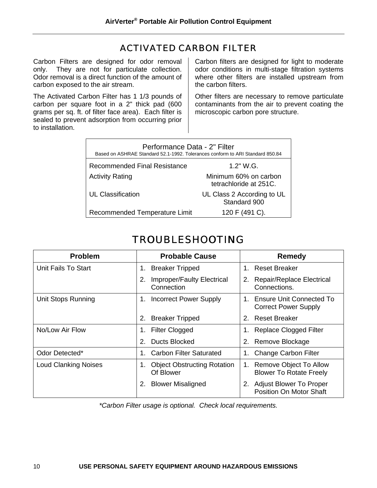#### ACTIVATED CARBON FILTER

Carbon Filters are designed for odor removal only. They are not for particulate collection. Odor removal is a direct function of the amount of carbon exposed to the air stream.

The Activated Carbon Filter has 1 1/3 pounds of carbon per square foot in a 2" thick pad (600 grams per sq. ft. of filter face area). Each filter is sealed to prevent adsorption from occurring prior to installation.

Carbon filters are designed for light to moderate odor conditions in multi-stage filtration systems where other filters are installed upstream from the carbon filters.

Other filters are necessary to remove particulate contaminants from the air to prevent coating the microscopic carbon pore structure.

| Performance Data - 2" Filter<br>Based on ASHRAE Standard 52.1-1992. Tolerances conform to ARI Standard 850.84 |                                                 |  |  |  |
|---------------------------------------------------------------------------------------------------------------|-------------------------------------------------|--|--|--|
| Recommended Final Resistance                                                                                  | 1.2" W.G.                                       |  |  |  |
| <b>Activity Rating</b>                                                                                        | Minimum 60% on carbon<br>tetrachloride at 251C. |  |  |  |
| <b>UL Classification</b>                                                                                      | UL Class 2 According to UL<br>Standard 900      |  |  |  |
| Recommended Temperature Limit                                                                                 | 120 F (491 C).                                  |  |  |  |

### TROUBLESHOOTING

| <b>Problem</b>              | <b>Probable Cause</b>                                 | Remedy                                                                 |
|-----------------------------|-------------------------------------------------------|------------------------------------------------------------------------|
| Unit Fails To Start         | <b>Breaker Tripped</b><br>1.                          | 1. Reset Breaker                                                       |
|                             | <b>Improper/Faulty Electrical</b><br>2.<br>Connection | Repair/Replace Electrical<br>2.<br>Connections.                        |
| Unit Stops Running          | <b>Incorrect Power Supply</b><br>1.                   | Ensure Unit Connected To<br>$\mathbf 1$<br><b>Correct Power Supply</b> |
|                             | 2.<br><b>Breaker Tripped</b>                          | <b>Reset Breaker</b><br>2 <sub>1</sub>                                 |
| No/Low Air Flow             | <b>Filter Clogged</b><br>1.                           | <b>Replace Clogged Filter</b>                                          |
|                             | Ducts Blocked<br>2.                                   | 2. Remove Blockage                                                     |
| Odor Detected*              | <b>Carbon Filter Saturated</b><br>1.                  | Change Carbon Filter<br>1.                                             |
| <b>Loud Clanking Noises</b> | <b>Object Obstructing Rotation</b><br>1.<br>Of Blower | Remove Object To Allow<br>1.<br><b>Blower To Rotate Freely</b>         |
|                             | <b>Blower Misaligned</b><br>2.                        | <b>Adjust Blower To Proper</b><br>2.<br><b>Position On Motor Shaft</b> |

*\*Carbon Filter usage is optional. Check local requirements.*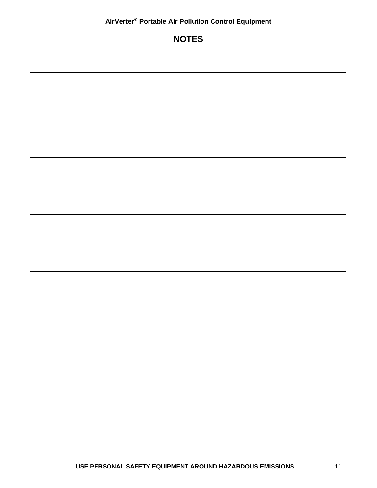#### **NOTES**